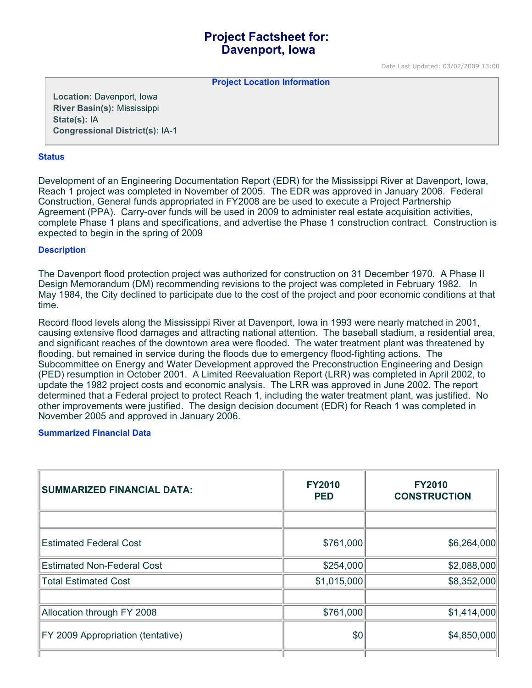# **Project Factsheet for: Davenport, Iowa**

Date Last Updated: 03/02/2009 13:00

**Project Location Information** 

**Location:** Davenport, Iowa **River Basin(s):** Mississippi **State(s):** IA **Congressional District(s):** IA-1

#### **Status**

Development of an Engineering Documentation Report (EDR) for the Mississippi River at Davenport, Iowa, Reach 1 project was completed in November of 2005. The EDR was approved in January 2006. Federal Construction, General funds appropriated in FY2008 are be used to execute a Project Partnership Agreement (PPA). Carry-over funds will be used in 2009 to administer real estate acquisition activities, complete Phase 1 plans and specifications, and advertise the Phase 1 construction contract. Construction is expected to begin in the spring of 2009

## **Description**

The Davenport flood protection project was authorized for construction on 31 December 1970. A Phase II Design Memorandum (DM) recommending revisions to the project was completed in February 1982. In May 1984, the City declined to participate due to the cost of the project and poor economic conditions at that time.

Record flood levels along the Mississippi River at Davenport, Iowa in 1993 were nearly matched in 2001, causing extensive flood damages and attracting national attention. The baseball stadium, a residential area, and significant reaches of the downtown area were flooded. The water treatment plant was threatened by flooding, but remained in service during the floods due to emergency flood-fighting actions. The Subcommittee on Energy and Water Development approved the Preconstruction Engineering and Design (PED) resumption in October 2001. A Limited Reevaluation Report (LRR) was completed in April 2002, to update the 1982 project costs and economic analysis. The LRR was approved in June 2002. The report determined that a Federal project to protect Reach 1, including the water treatment plant, was justified. No other improvements were justified. The design decision document (EDR) for Reach 1 was completed in November 2005 and approved in January 2006.

#### **Summarized Financial Data**

| <b>SUMMARIZED FINANCIAL DATA:</b>        | <b>FY2010</b><br><b>PED</b> | <b>FY2010</b><br><b>CONSTRUCTION</b> |
|------------------------------------------|-----------------------------|--------------------------------------|
|                                          |                             |                                      |
| <b>Estimated Federal Cost</b>            | \$761,000                   | \$6,264,000                          |
| <b>Estimated Non-Federal Cost</b>        | \$254,000                   | \$2,088,000                          |
| <b>Total Estimated Cost</b>              | \$1,015,000                 | \$8,352,000                          |
|                                          |                             |                                      |
| Allocation through FY 2008               | \$761,000                   | \$1,414,000                          |
| <b>FY 2009 Appropriation (tentative)</b> | \$0                         | \$4,850,000                          |
|                                          |                             |                                      |